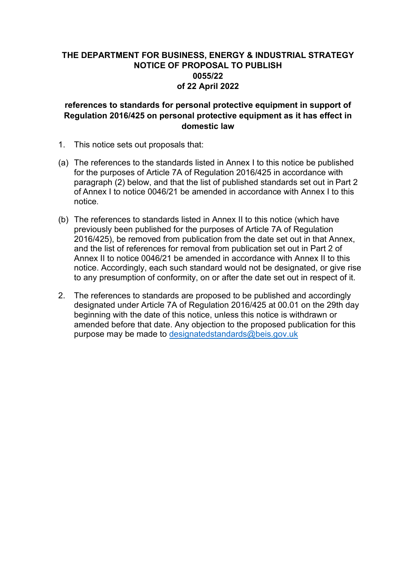# **THE DEPARTMENT FOR BUSINESS, ENERGY & INDUSTRIAL STRATEGY NOTICE OF PROPOSAL TO PUBLISH 0055/22 of 22 April 2022**

## **references to standards for personal protective equipment in support of Regulation 2016/425 on personal protective equipment as it has effect in domestic law**

- 1. This notice sets out proposals that:
- (a) The references to the standards listed in Annex I to this notice be published for the purposes of Article 7A of Regulation 2016/425 in accordance with paragraph (2) below, and that the list of published standards set out in Part 2 of Annex I to notice 0046/21 be amended in accordance with Annex I to this notice.
- (b) The references to standards listed in Annex II to this notice (which have previously been published for the purposes of Article 7A of Regulation 2016/425), be removed from publication from the date set out in that Annex, and the list of references for removal from publication set out in Part 2 of Annex II to notice 0046/21 be amended in accordance with Annex II to this notice. Accordingly, each such standard would not be designated, or give rise to any presumption of conformity, on or after the date set out in respect of it.
- 2. The references to standards are proposed to be published and accordingly designated under Article 7A of Regulation 2016/425 at 00.01 on the 29th day beginning with the date of this notice, unless this notice is withdrawn or amended before that date. Any objection to the proposed publication for this purpose may be made to [designatedstandards@beis.gov.uk](mailto:designatedstandards@beis.gov.uk)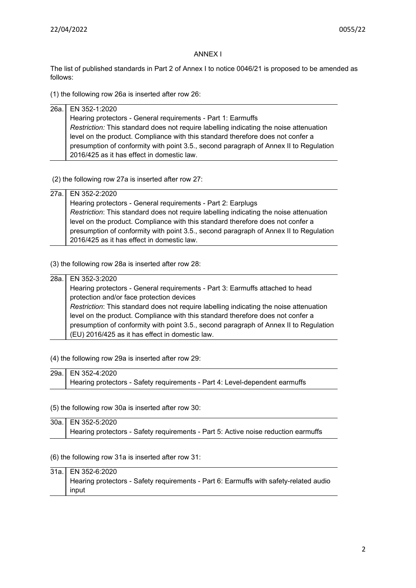#### ANNEX I

The list of published standards in Part 2 of Annex I to notice 0046/21 is proposed to be amended as follows:

(1) the following row 26a is inserted after row 26:

| 26a. EN 352-1:2020                                                                     |
|----------------------------------------------------------------------------------------|
| Hearing protectors - General requirements - Part 1: Earmuffs                           |
| Restriction: This standard does not require labelling indicating the noise attenuation |
| level on the product. Compliance with this standard therefore does not confer a        |
| presumption of conformity with point 3.5., second paragraph of Annex II to Regulation  |
| 2016/425 as it has effect in domestic law.                                             |

(2) the following row 27a is inserted after row 27:

### 27a. EN 352-2:2020 Hearing protectors - General requirements - Part 2: Earplugs *Restriction*: This standard does not require labelling indicating the noise attenuation level on the product. Compliance with this standard therefore does not confer a presumption of conformity with point 3.5., second paragraph of Annex II to Regulation

(3) the following row 28a is inserted after row 28:

2016/425 as it has effect in domestic law.

## 28a. EN 352-3:2020 Hearing protectors - General requirements - Part 3: Earmuffs attached to head protection and/or face protection devices *Restriction*: This standard does not require labelling indicating the noise attenuation level on the product. Compliance with this standard therefore does not confer a presumption of conformity with point 3.5., second paragraph of Annex II to Regulation (EU) 2016/425 as it has effect in domestic law.

(4) the following row 29a is inserted after row 29:

| 29a. EN 352-4:2020                                                          |
|-----------------------------------------------------------------------------|
| Hearing protectors - Safety requirements - Part 4: Level-dependent earmuffs |

(5) the following row 30a is inserted after row 30:

30a. EN 352-5:2020 Hearing protectors - Safety requirements - Part 5: Active noise reduction earmuffs

(6) the following row 31a is inserted after row 31:

| 31a. EN 352-6:2020                                                                    |
|---------------------------------------------------------------------------------------|
| Hearing protectors - Safety requirements - Part 6: Earmuffs with safety-related audio |
| input                                                                                 |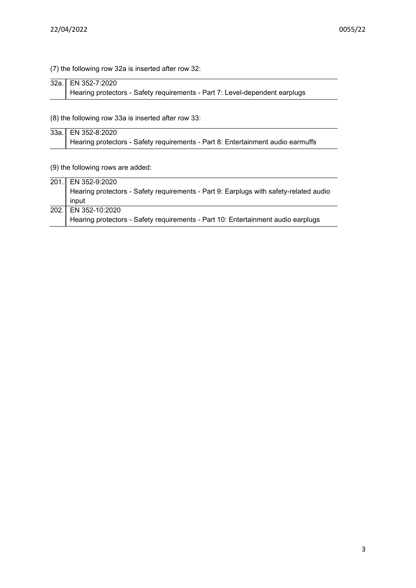## (7) the following row 32a is inserted after row 32:

| 32a. EN 352-7:2020                                                          |
|-----------------------------------------------------------------------------|
| Hearing protectors - Safety requirements - Part 7: Level-dependent earplugs |

(8) the following row 33a is inserted after row 33:

| 33a. EN 352-8:2020                                                              |
|---------------------------------------------------------------------------------|
| Hearing protectors - Safety requirements - Part 8: Entertainment audio earmuffs |

(9) the following rows are added:

| 201. EN 352-9:2020                                                                    |
|---------------------------------------------------------------------------------------|
| Hearing protectors - Safety requirements - Part 9: Earplugs with safety-related audio |
| input                                                                                 |
| 202. EN 352-10:2020                                                                   |
| Hearing protectors - Safety requirements - Part 10: Entertainment audio earplugs      |